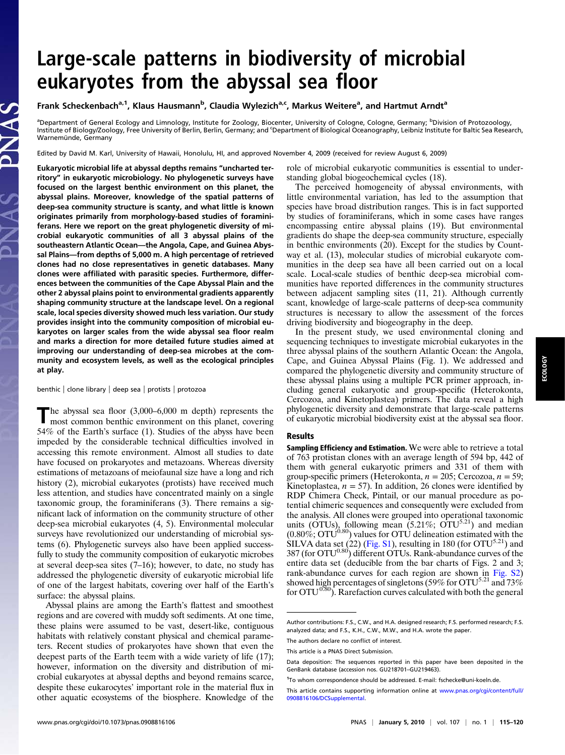# Large-scale patterns in biodiversity of microbial eukaryotes from the abyssal sea floor

# Frank Scheckenbach<sup>a, 1</sup>, Klaus Hausmann<sup>b</sup>, Claudia Wylezich<sup>a, c</sup>, Markus Weitere<sup>a</sup>, and Hartmut Arndt<sup>a</sup>

<sup>a</sup>Department of General Ecology and Limnology, Institute for Zoology, Biocenter, University of Cologne, Cologne, Germany; <sup>b</sup>Division of Protozoology, Institute of Biology/Zoology, Free University of Berlin, Berlin, Germany; and 'Department of Biological Oceanography, Leibniz Institute for Baltic Sea Research, Warnemünde, Germany

Edited by David M. Karl, University of Hawaii, Honolulu, HI, and approved November 4, 2009 (received for review August 6, 2009)

Eukaryotic microbial life at abyssal depths remains "uncharted territory" in eukaryotic microbiology. No phylogenetic surveys have focused on the largest benthic environment on this planet, the abyssal plains. Moreover, knowledge of the spatial patterns of deep-sea community structure is scanty, and what little is known originates primarily from morphology-based studies of foraminiferans. Here we report on the great phylogenetic diversity of microbial eukaryotic communities of all 3 abyssal plains of the southeastern Atlantic Ocean—the Angola, Cape, and Guinea Abyssal Plains—from depths of 5,000 m. A high percentage of retrieved clones had no close representatives in genetic databases. Many clones were affiliated with parasitic species. Furthermore, differences between the communities of the Cape Abyssal Plain and the other 2 abyssal plains point to environmental gradients apparently shaping community structure at the landscape level. On a regional scale, local species diversity showed much less variation. Our study provides insight into the community composition of microbial eukaryotes on larger scales from the wide abyssal sea floor realm and marks a direction for more detailed future studies aimed at improving our understanding of deep-sea microbes at the community and ecosystem levels, as well as the ecological principles at play.

benthic | clone library | deep sea | protists | protozoa

The abyssal sea floor (3,000–6,000 m depth) represents the most common benthic environment on this planet, covering 54% of the Earth's surface (1). Studies of the abyss have been impeded by the considerable technical difficulties involved in accessing this remote environment. Almost all studies to date have focused on prokaryotes and metazoans. Whereas diversity estimations of metazoans of meiofaunal size have a long and rich history (2), microbial eukaryotes (protists) have received much less attention, and studies have concentrated mainly on a single taxonomic group, the foraminiferans (3). There remains a significant lack of information on the community structure of other deep-sea microbial eukaryotes (4, 5). Environmental molecular surveys have revolutionized our understanding of microbial systems (6). Phylogenetic surveys also have been applied successfully to study the community composition of eukaryotic microbes at several deep-sea sites (7–16); however, to date, no study has addressed the phylogenetic diversity of eukaryotic microbial life of one of the largest habitats, covering over half of the Earth's surface: the abyssal plains.

Abyssal plains are among the Earth's flattest and smoothest regions and are covered with muddy soft sediments. At one time, these plains were assumed to be vast, desert-like, contiguous habitats with relatively constant physical and chemical parameters. Recent studies of prokaryotes have shown that even the deepest parts of the Earth teem with a wide variety of life (17); however, information on the diversity and distribution of microbial eukaryotes at abyssal depths and beyond remains scarce, despite these eukarocytes' important role in the material flux in other aquatic ecosystems of the biosphere. Knowledge of the role of microbial eukaryotic communities is essential to understanding global biogeochemical cycles (18).

The perceived homogeneity of abyssal environments, with little environmental variation, has led to the assumption that species have broad distribution ranges. This is in fact supported by studies of foraminiferans, which in some cases have ranges encompassing entire abyssal plains (19). But environmental gradients do shape the deep-sea community structure, especially in benthic environments (20). Except for the studies by Countway et al. (13), molecular studies of microbial eukaryote communities in the deep sea have all been carried out on a local scale. Local-scale studies of benthic deep-sea microbial communities have reported differences in the community structures between adjacent sampling sites (11, 21). Although currently scant, knowledge of large-scale patterns of deep-sea community structures is necessary to allow the assessment of the forces driving biodiversity and biogeography in the deep.

In the present study, we used environmental cloning and sequencing techniques to investigate microbial eukaryotes in the three abyssal plains of the southern Atlantic Ocean: the Angola, Cape, and Guinea Abyssal Plains (Fig. 1). We addressed and compared the phylogenetic diversity and community structure of these abyssal plains using a multiple PCR primer approach, including general eukaryotic and group-specific (Heterokonta, Cercozoa, and Kinetoplastea) primers. The data reveal a high phylogenetic diversity and demonstrate that large-scale patterns of eukaryotic microbial biodiversity exist at the abyssal sea floor.

### Results

Sampling Efficiency and Estimation. We were able to retrieve a total of 763 protistan clones with an average length of 594 bp, 442 of them with general eukaryotic primers and 331 of them with group-specific primers (Heterokonta,  $n = 205$ ; Cercozoa,  $n = 59$ ; Kinetoplastea,  $n = 57$ ). In addition, 26 clones were identified by RDP Chimera Check, Pintail, or our manual procedure as potential chimeric sequences and consequently were excluded from the analysis. All clones were grouped into operational taxonomic units ( $\text{OTUs}$ ), following mean (5.21%;  $\text{OTU}^{5.21}$ ) and median  $(0.80\%; \mathrm{OTU}^{0.80})$  values for OTU delineation estimated with the  $\hat{\text{SILVA}}$  data set (22) [\(Fig. S1](http://www.pnas.org/cgi/data/0908816106/DCSupplemental/Supplemental_PDF#nameddest=sfig01)), resulting in 180 (for OTU<sup>5.21</sup>) and 387 (for  $\text{OTU}^{0.80}$ ) different OTUs. Rank-abundance curves of the entire data set (deducible from the bar charts of Figs. 2 and 3; rank-abundance curves for each region are shown in [Fig. S2\)](http://www.pnas.org/cgi/data/0908816106/DCSupplemental/Supplemental_PDF#nameddest=sfig02) showed high percentages of singletons (59% for OTU<sup>5.21</sup> and 73%) for  $\text{OTU}^{0.80}$ ). Rarefaction curves calculated with both the general

Author contributions: F.S., C.W., and H.A. designed research; F.S. performed research; F.S. analyzed data; and F.S., K.H., C.W., M.W., and H.A. wrote the paper.

The authors declare no conflict of interest.

This article is a PNAS Direct Submission.

Data deposition: The sequences reported in this paper have been deposited in the GenBank database (accession nos. GU218701–GU219463).

<sup>&</sup>lt;sup>1</sup>To whom correspondence should be addressed. E-mail: [fschecke@uni-koeln.de.](mailto:fschecke@uni-koeln.de)

This article contains supporting information online at [www.pnas.org/cgi/content/full/](http://www.pnas.org/cgi/content/full/0908816106/DCSupplemental) [0908816106/DCSupplemental](http://www.pnas.org/cgi/content/full/0908816106/DCSupplemental).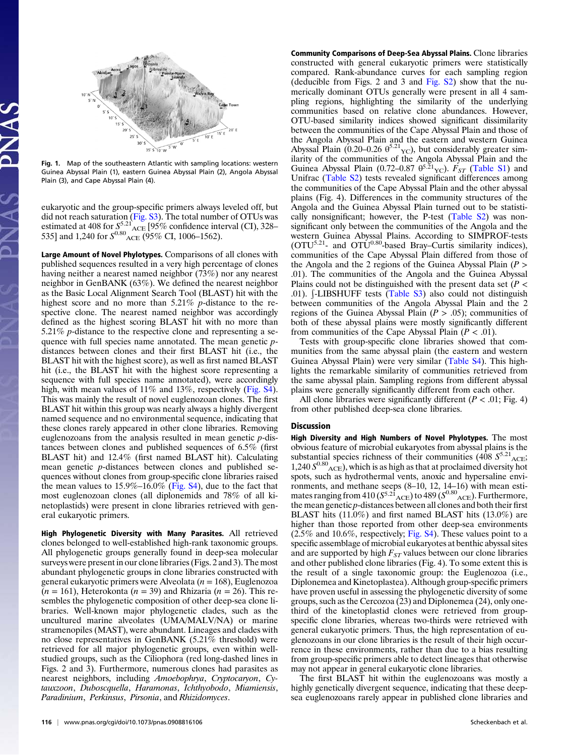

Fig. 1. Map of the southeastern Atlantic with sampling locations: western Guinea Abyssal Plain (1), eastern Guinea Abyssal Plain (2), Angola Abyssal Plain (3), and Cape Abyssal Plain (4).

eukaryotic and the group-specific primers always leveled off, but did not reach saturation ([Fig. S3\)](http://www.pnas.org/cgi/data/0908816106/DCSupplemental/Supplemental_PDF#nameddest=sfig03). The total number of OTUs was estimated at 408 for  $S_{\text{so}}^{5.21}$  ACE [95% confidence interval (CI), 328– 535] and 1,240 for  $S^{0.80}$ <sub>ACE</sub> (95% CI, 1006–1562).

Large Amount of Novel Phylotypes. Comparisons of all clones with published sequences resulted in a very high percentage of clones having neither a nearest named neighbor (73%) nor any nearest neighbor in GenBANK (63%). We defined the nearest neighbor as the Basic Local Alignment Search Tool (BLAST) hit with the highest score and no more than 5.21% *p*-distance to the respective clone. The nearest named neighbor was accordingly defined as the highest scoring BLAST hit with no more than 5.21% *p*-distance to the respective clone and representing a sequence with full species name annotated. The mean genetic pdistances between clones and their first BLAST hit (i.e., the BLAST hit with the highest score), as well as first named BLAST hit (i.e., the BLAST hit with the highest score representing a sequence with full species name annotated), were accordingly high, with mean values of 11% and 13%, respectively ([Fig. S4](http://www.pnas.org/cgi/data/0908816106/DCSupplemental/Supplemental_PDF#nameddest=sfig04)). This was mainly the result of novel euglenozoan clones. The first BLAST hit within this group was nearly always a highly divergent named sequence and no environmental sequence, indicating that these clones rarely appeared in other clone libraries. Removing euglenozoans from the analysis resulted in mean genetic p-distances between clones and published sequences of 6.5% (first BLAST hit) and 12.4% (first named BLAST hit). Calculating mean genetic p-distances between clones and published sequences without clones from group-specific clone libraries raised the mean values to  $15.9\% - 16.0\%$  ([Fig. S4\)](http://www.pnas.org/cgi/data/0908816106/DCSupplemental/Supplemental_PDF#nameddest=sfig04), due to the fact that most euglenozoan clones (all diplonemids and 78% of all kinetoplastids) were present in clone libraries retrieved with general eukaryotic primers.

High Phylogenetic Diversity with Many Parasites. All retrieved clones belonged to well-established high-rank taxonomic groups. All phylogenetic groups generally found in deep-sea molecular surveys were present in our clone libraries (Figs. 2 and 3). The most abundant phylogenetic groups in clone libraries constructed with general eukaryotic primers were Alveolata ( $n = 168$ ), Euglenozoa  $(n = 161)$ , Heterokonta  $(n = 39)$  and Rhizaria  $(n = 26)$ . This resembles the phylogenetic composition of other deep-sea clone libraries. Well-known major phylogenetic clades, such as the uncultured marine alveolates (UMA/MALV/NA) or marine stramenopiles (MAST), were abundant. Lineages and clades with no close representatives in GenBANK (5.21% threshold) were retrieved for all major phylogenetic groups, even within wellstudied groups, such as the Ciliophora (red long-dashed lines in Figs. 2 and 3). Furthermore, numerous clones had parasites as nearest neighbors, including Amoebophrya, Cryptocaryon, Cytauxzoon, Duboscquella, Haramonas, Ichthyobodo, Miamiensis, Paradinium, Perkinsus, Pirsonia, and Rhizidomyces.

Community Comparisons of Deep-Sea Abyssal Plains. Clone libraries constructed with general eukaryotic primers were statistically compared. Rank-abundance curves for each sampling region (deducible from Figs. 2 and 3 and [Fig. S2](http://www.pnas.org/cgi/data/0908816106/DCSupplemental/Supplemental_PDF#nameddest=sfig02)) show that the numerically dominant OTUs generally were present in all 4 sampling regions, highlighting the similarity of the underlying communities based on relative clone abundances. However, OTU-based similarity indices showed significant dissimilarity between the communities of the Cape Abyssal Plain and those of the Angola Abyssal Plain and the eastern and western Guinea Abyssal Plain (0.20–0.26  $\theta^{5.21}$ <sub>YC</sub>), but considerably greater similarity of the communities of the Angola Abyssal Plain and the Guinea Abyssal Plain  $(0.72-0.87 \theta^{5.21} \text{C})$ .  $F_{ST}$  ([Table S1\)](http://www.pnas.org/cgi/data/0908816106/DCSupplemental/Supplemental_PDF#nameddest=st01) and Unifrac [\(Table S2\)](http://www.pnas.org/cgi/data/0908816106/DCSupplemental/Supplemental_PDF#nameddest=st02) tests revealed significant differences among the communities of the Cape Abyssal Plain and the other abyssal plains (Fig. 4). Differences in the community structures of the Angola and the Guinea Abyssal Plain turned out to be statistically nonsignificant; however, the P-test [\(Table S2\)](http://www.pnas.org/cgi/data/0908816106/DCSupplemental/Supplemental_PDF#nameddest=st02) was nonsignificant only between the communities of the Angola and the western Guinea Abyssal Plains. According to SIMPROF-tests  $(OTU<sup>5.21</sup>$ - and  $OTU<sup>0.80</sup>$ -based Bray–Curtis similarity indices), communities of the Cape Abyssal Plain differed from those of the Angola and the 2 regions of the Guinea Abyssal Plain ( $P >$ .01). The communities of the Angola and the Guinea Abyssal Plains could not be distinguished with the present data set  $(P <$ .01). [-LIBSHUFF tests ([Table S3\)](http://www.pnas.org/cgi/data/0908816106/DCSupplemental/Supplemental_PDF#nameddest=st03) also could not distinguish between communities of the Angola Abyssal Plain and the 2 regions of the Guinea Abyssal Plain ( $P > .05$ ); communities of both of these abyssal plains were mostly significantly different from communities of the Cape Abyssal Plain ( $P < .01$ ).

Tests with group-specific clone libraries showed that communities from the same abyssal plain (the eastern and western Guinea Abyssal Plain) were very similar ([Table S4](http://www.pnas.org/cgi/data/0908816106/DCSupplemental/Supplemental_PDF#nameddest=st04)). This highlights the remarkable similarity of communities retrieved from the same abyssal plain. Sampling regions from different abyssal plains were generally significantly different from each other.

All clone libraries were significantly different ( $P < .01$ ; Fig. 4) from other published deep-sea clone libraries.

#### Discussion

High Diversity and High Numbers of Novel Phylotypes. The most obvious feature of microbial eukaryotes from abyssal plains is the substantial species richness of their communities (408  $S^{5.21}$ <sub>ACE</sub>;  $1,240 S^{0.80}$ <sub>ACE</sub>), which is as high as that at proclaimed diversity hot spots, such as hydrothermal vents, anoxic and hypersaline environments, and methane seeps (8–10, 12, 14–16) with mean estimates ranging from 410 ( $S^{5.21}$ <sub>ACE</sub>) to 489 ( $S^{0.80}$ <sub>ACE</sub>). Furthermore, the mean genetic p-distances between all clones and both their first BLAST hits (11.0%) and first named BLAST hits (13.0%) are higher than those reported from other deep-sea environments (2.5% and 10.6%, respectively; [Fig. S4\)](http://www.pnas.org/cgi/data/0908816106/DCSupplemental/Supplemental_PDF#nameddest=sfig04). These values point to a specific assemblage of microbial eukaryotes at benthic abyssal sites and are supported by high  $F_{ST}$  values between our clone libraries and other published clone libraries (Fig. 4). To some extent this is the result of a single taxonomic group: the Euglenozoa (i.e., Diplonemea and Kinetoplastea). Although group-specific primers have proven useful in assessing the phylogenetic diversity of some groups, such as the Cercozoa (23) and Diplonemea (24), only onethird of the kinetoplastid clones were retrieved from groupspecific clone libraries, whereas two-thirds were retrieved with general eukaryotic primers. Thus, the high representation of euglenozoans in our clone libraries is the result of their high occurrence in these environments, rather than due to a bias resulting from group-specific primers able to detect lineages that otherwise may not appear in general eukaryotic clone libraries.

The first BLAST hit within the euglenozoans was mostly a highly genetically divergent sequence, indicating that these deepsea euglenozoans rarely appear in published clone libraries and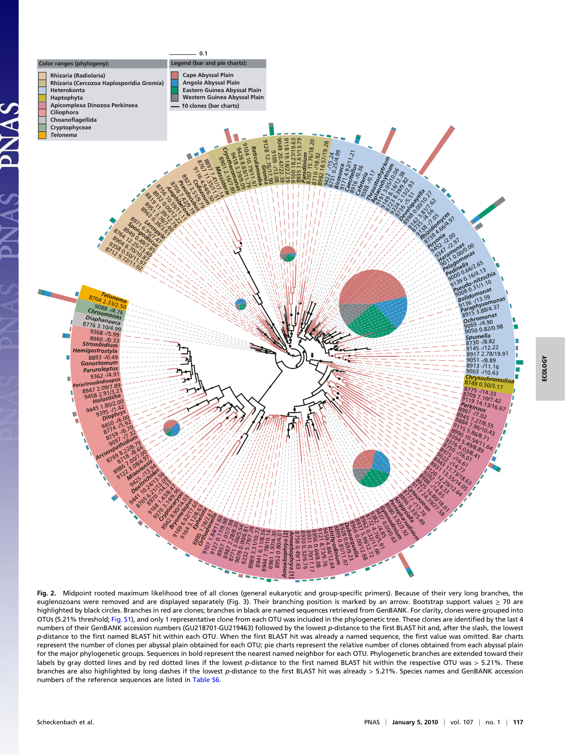

Fig. 2. Midpoint rooted maximum likelihood tree of all clones (general eukaryotic and group-specific primers). Because of their very long branches, the euglenozoans were removed and are displayed separately (Fig. 3). Their branching position is marked by an arrow. Bootstrap support values  $\geq 70$  are highlighted by black circles. Branches in red are clones; branches in black are named sequences retrieved from GenBANK. For clarity, clones were grouped into OTUs (5.21% threshold; [Fig. S1\)](http://www.pnas.org/cgi/data/0908816106/DCSupplemental/Supplemental_PDF#nameddest=sfig01), and only 1 representative clone from each OTU was included in the phylogenetic tree. These clones are identified by the last 4 numbers of their GenBANK accession numbers (GU218701-GU219463) followed by the lowest p-distance to the first BLAST hit and, after the slash, the lowest p-distance to the first named BLAST hit within each OTU. When the first BLAST hit was already a named sequence, the first value was omitted. Bar charts represent the number of clones per abyssal plain obtained for each OTU; pie charts represent the relative number of clones obtained from each abyssal plain for the major phylogenetic groups. Sequences in bold represent the nearest named neighbor for each OTU. Phylogenetic branches are extended toward their labels by gray dotted lines and by red dotted lines if the lowest p-distance to the first named BLAST hit within the respective OTU was > 5.21%. These branches are also highlighted by long dashes if the lowest p-distance to the first BLAST hit was already > 5.21%. Species names and GenBANK accession numbers of the reference sequences are listed in [Table S6](http://www.pnas.org/cgi/data/0908816106/DCSupplemental/Supplemental_PDF#nameddest=st06).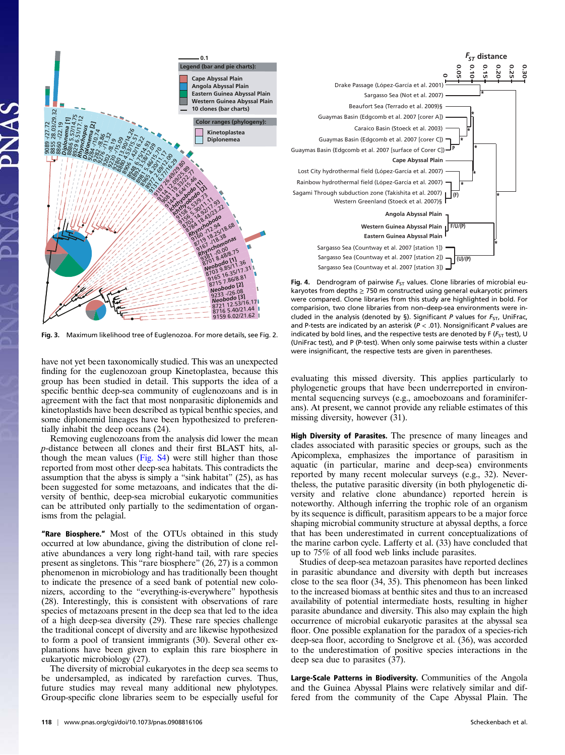

Fig. 3. Maximum likelihood tree of Euglenozoa. For more details, see Fig. 2.

have not yet been taxonomically studied. This was an unexpected finding for the euglenozoan group Kinetoplastea, because this group has been studied in detail. This supports the idea of a specific benthic deep-sea community of euglenozoans and is in agreement with the fact that most nonparasitic diplonemids and kinetoplastids have been described as typical benthic species, and some diplonemid lineages have been hypothesized to preferentially inhabit the deep oceans (24).

Removing euglenozoans from the analysis did lower the mean p-distance between all clones and their first BLAST hits, although the mean values ([Fig. S4](http://www.pnas.org/cgi/data/0908816106/DCSupplemental/Supplemental_PDF#nameddest=sfig04)) were still higher than those reported from most other deep-sea habitats. This contradicts the assumption that the abyss is simply a "sink habitat" (25), as has been suggested for some metazoans, and indicates that the diversity of benthic, deep-sea microbial eukaryotic communities can be attributed only partially to the sedimentation of organisms from the pelagial.

"Rare Biosphere." Most of the OTUs obtained in this study occurred at low abundance, giving the distribution of clone relative abundances a very long right-hand tail, with rare species present as singletons. This "rare biosphere" (26, 27) is a common phenomenon in microbiology and has traditionally been thought to indicate the presence of a seed bank of potential new colonizers, according to the "everything-is-everywhere" hypothesis (28). Interestingly, this is consistent with observations of rare species of metazoans present in the deep sea that led to the idea of a high deep-sea diversity (29). These rare species challenge the traditional concept of diversity and are likewise hypothesized to form a pool of transient immigrants (30). Several other explanations have been given to explain this rare biosphere in eukaryotic microbiology (27).

The diversity of microbial eukaryotes in the deep sea seems to be undersampled, as indicated by rarefaction curves. Thus, future studies may reveal many additional new phylotypes. Group-specific clone libraries seem to be especially useful for



Fig. 4. Dendrogram of pairwise  $F_{ST}$  values. Clone libraries of microbial eukaryotes from depths  $\geq$  750 m constructed using general eukaryotic primers were compared. Clone libraries from this study are highlighted in bold. For comparision, two clone libraries from non–deep-sea environments were included in the analysis (denoted by §). Significant P values for  $F_{ST}$ , UniFrac, and P-tests are indicated by an asterisk ( $P < .01$ ). Nonsignificant P values are indicated by bold lines, and the respective tests are denoted by F ( $F_{ST}$  test), U (UniFrac test), and P (P-test). When only some pairwise tests within a cluster were insignificant, the respective tests are given in parentheses.

evaluating this missed diversity. This applies particularly to phylogenetic groups that have been underreported in environmental sequencing surveys (e.g., amoebozoans and foraminiferans). At present, we cannot provide any reliable estimates of this missing diversity, however (31).

High Diversity of Parasites. The presence of many lineages and clades associated with parasitic species or groups, such as the Apicomplexa, emphasizes the importance of parasitism in aquatic (in particular, marine and deep-sea) environments reported by many recent molecular surveys (e.g., 32). Nevertheless, the putative parasitic diversity (in both phylogenetic diversity and relative clone abundance) reported herein is noteworthy. Although inferring the trophic role of an organism by its sequence is difficult, parasitism appears to be a major force shaping microbial community structure at abyssal depths, a force that has been underestimated in current conceptualizations of the marine carbon cycle. Lafferty et al. (33) have concluded that up to 75% of all food web links include parasites.

Studies of deep-sea metazoan parasites have reported declines in parasitic abundance and diversity with depth but increases close to the sea floor (34, 35). This phenomeon has been linked to the increased biomass at benthic sites and thus to an increased availability of potential intermediate hosts, resulting in higher parasite abundance and diversity. This also may explain the high occurrence of microbial eukaryotic parasites at the abyssal sea floor. One possible explanation for the paradox of a species-rich deep-sea floor, according to Snelgrove et al. (36), was accorded to the underestimation of positive species interactions in the deep sea due to parasites (37).

Large-Scale Patterns in Biodiversity. Communities of the Angola and the Guinea Abyssal Plains were relatively similar and differed from the community of the Cape Abyssal Plain. The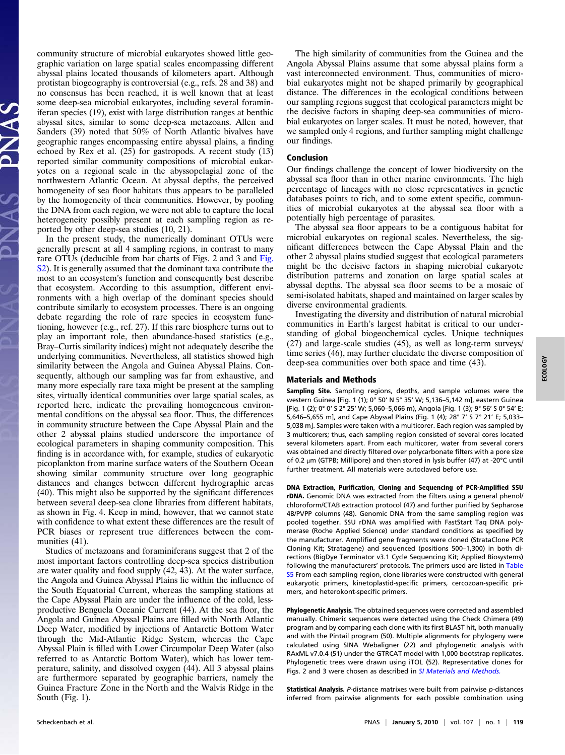community structure of microbial eukaryotes showed little geographic variation on large spatial scales encompassing different abyssal plains located thousands of kilometers apart. Although protistan biogeography is controversial (e.g., refs. 28 and 38) and no consensus has been reached, it is well known that at least some deep-sea microbial eukaryotes, including several foraminiferan species (19), exist with large distribution ranges at benthic abyssal sites, similar to some deep-sea metazoans. Allen and Sanders (39) noted that 50% of North Atlantic bivalves have geographic ranges encompassing entire abyssal plains, a finding echoed by Rex et al. (25) for gastropods. A recent study (13) reported similar community compositions of microbial eukaryotes on a regional scale in the abyssopelagial zone of the northwestern Atlantic Ocean. At abyssal depths, the perceived homogeneity of sea floor habitats thus appears to be paralleled by the homogeneity of their communities. However, by pooling the DNA from each region, we were not able to capture the local heterogeneity possibly present at each sampling region as reported by other deep-sea studies (10, 21).

In the present study, the numerically dominant OTUs were generally present at all 4 sampling regions, in contrast to many rare OTUs (deducible from bar charts of Figs. 2 and 3 and [Fig.](http://www.pnas.org/cgi/data/0908816106/DCSupplemental/Supplemental_PDF#nameddest=sfig02) [S2\)](http://www.pnas.org/cgi/data/0908816106/DCSupplemental/Supplemental_PDF#nameddest=sfig02). It is generally assumed that the dominant taxa contribute the most to an ecosystem's function and consequently best describe that ecosystem. According to this assumption, different environments with a high overlap of the dominant species should contribute similarly to ecosystem processes. There is an ongoing debate regarding the role of rare species in ecosystem functioning, however (e.g., ref. 27). If this rare biosphere turns out to play an important role, then abundance-based statistics (e.g., Bray–Curtis similarity indices) might not adequately describe the underlying communities. Nevertheless, all statistics showed high similarity between the Angola and Guinea Abyssal Plains. Consequently, although our sampling was far from exhaustive, and many more especially rare taxa might be present at the sampling sites, virtually identical communities over large spatial scales, as reported here, indicate the prevailing homogeneous environmental conditions on the abyssal sea floor. Thus, the differences in community structure between the Cape Abyssal Plain and the other 2 abyssal plains studied underscore the importance of ecological parameters in shaping community composition. This finding is in accordance with, for example, studies of eukaryotic picoplankton from marine surface waters of the Southern Ocean showing similar community structure over long geographic distances and changes between different hydrographic areas (40). This might also be supported by the significant differences between several deep-sea clone libraries from different habitats, as shown in Fig. 4. Keep in mind, however, that we cannot state with confidence to what extent these differences are the result of PCR biases or represent true differences between the communities  $(41)$ .

Studies of metazoans and foraminiferans suggest that 2 of the most important factors controlling deep-sea species distribution are water quality and food supply (42, 43). At the water surface, the Angola and Guinea Abyssal Plains lie within the influence of the South Equatorial Current, whereas the sampling stations at the Cape Abyssal Plain are under the influence of the cold, lessproductive Benguela Oceanic Current (44). At the sea floor, the Angola and Guinea Abyssal Plains are filled with North Atlantic Deep Water, modified by injections of Antarctic Bottom Water through the Mid-Atlantic Ridge System, whereas the Cape Abyssal Plain is filled with Lower Circumpolar Deep Water (also referred to as Antarctic Bottom Water), which has lower temperature, salinity, and dissolved oxygen (44). All 3 abyssal plains are furthermore separated by geographic barriers, namely the Guinea Fracture Zone in the North and the Walvis Ridge in the South (Fig. 1).

The high similarity of communities from the Guinea and the Angola Abyssal Plains assume that some abyssal plains form a vast interconnected environment. Thus, communities of microbial eukaryotes might not be shaped primarily by geographical distance. The differences in the ecological conditions between our sampling regions suggest that ecological parameters might be the decisive factors in shaping deep-sea communities of microbial eukaryotes on larger scales. It must be noted, however, that we sampled only 4 regions, and further sampling might challenge our findings.

## Conclusion

Our findings challenge the concept of lower biodiversity on the abyssal sea floor than in other marine environments. The high percentage of lineages with no close representatives in genetic databases points to rich, and to some extent specific, communities of microbial eukaryotes at the abyssal sea floor with a potentially high percentage of parasites.

The abyssal sea floor appears to be a contiguous habitat for microbial eukaryotes on regional scales. Nevertheless, the significant differences between the Cape Abyssal Plain and the other 2 abyssal plains studied suggest that ecological parameters might be the decisive factors in shaping microbial eukaryote distribution patterns and zonation on large spatial scales at abyssal depths. The abyssal sea floor seems to be a mosaic of semi-isolated habitats, shaped and maintained on larger scales by diverse environmental gradients.

Investigating the diversity and distribution of natural microbial communities in Earth's largest habitat is critical to our understanding of global biogeochemical cycles. Unique techniques (27) and large-scale studies (45), as well as long-term surveys/ time series (46), may further elucidate the diverse composition of deep-sea communities over both space and time (43).

#### Materials and Methods

Sampling Site. Sampling regions, depths, and sample volumes were the western Guinea [Fig. 1 (1); 0° 50' N 5° 35' W; 5,136–5,142 m], eastern Guinea [Fig. 1 (2); 0° 0' S 2° 25' W; 5,060–5,066 m), Angola [Fig. 1 (3); 9° 56' S 0° 54' E; 5,646–5,655 m], and Cape Abyssal Plains (Fig. 1 (4); 28° 7' S 7° 21' E; 5,033– 5,038 m]. Samples were taken with a multicorer. Each region was sampled by 3 multicorers; thus, each sampling region consisted of several cores located several kilometers apart. From each multicorer, water from several corers was obtained and directly filtered over polycarbonate filters with a pore size of 0.2 μm (GTPB; Millipore) and then stored in lysis buffer (47) at -20°C until further treatment. All materials were autoclaved before use.

DNA Extraction, Purification, Cloning and Sequencing of PCR-Amplified SSU rDNA. Genomic DNA was extracted from the filters using a general phenol/ chloroform/CTAB extraction protocol (47) and further purified by Sepharose 4B/PVPP columns (48). Genomic DNA from the same sampling region was pooled together. SSU rDNA was amplified with FastStart Taq DNA polymerase (Roche Applied Science) under standard conditions as specified by the manufacturer. Amplified gene fragments were cloned (StrataClone PCR Cloning Kit; Stratagene) and sequenced (positions 500–1,300) in both directions (BigDye Terminator v3.1 Cycle Sequencing Kit; Applied Biosystems) following the manufacturers' protocols. The primers used are listed in [Table](http://www.pnas.org/cgi/data/0908816106/DCSupplemental/Supplemental_PDF#nameddest=st05) [S5](http://www.pnas.org/cgi/data/0908816106/DCSupplemental/Supplemental_PDF#nameddest=st05) From each sampling region, clone libraries were constructed with general eukaryotic primers, kinetoplastid-specific primers, cercozoan-specific primers, and heterokont-specific primers.

Phylogenetic Analysis. The obtained sequences were corrected and assembled manually. Chimeric sequences were detected using the Check Chimera (49) program and by comparing each clone with its first BLAST hit, both manually and with the Pintail program (50). Multiple alignments for phylogeny were calculated using SINA Webaligner (22) and phylogenetic analysis with RAxML v7.0.4 (51) under the GTRCAT model with 1,000 bootstrap replicates. Phylogenetic trees were drawn using iTOL (52). Representative clones for Figs. 2 and 3 were chosen as described in [SI Materials and Methods.](http://www.pnas.org/cgi/data/0908816106/DCSupplemental/Supplemental_PDF#nameddest=STXT)

Statistical Analysis. P-distance matrixes were built from pairwise p-distances inferred from pairwise alignments for each possible combination using

ECOLOGY**ECOLOGY**